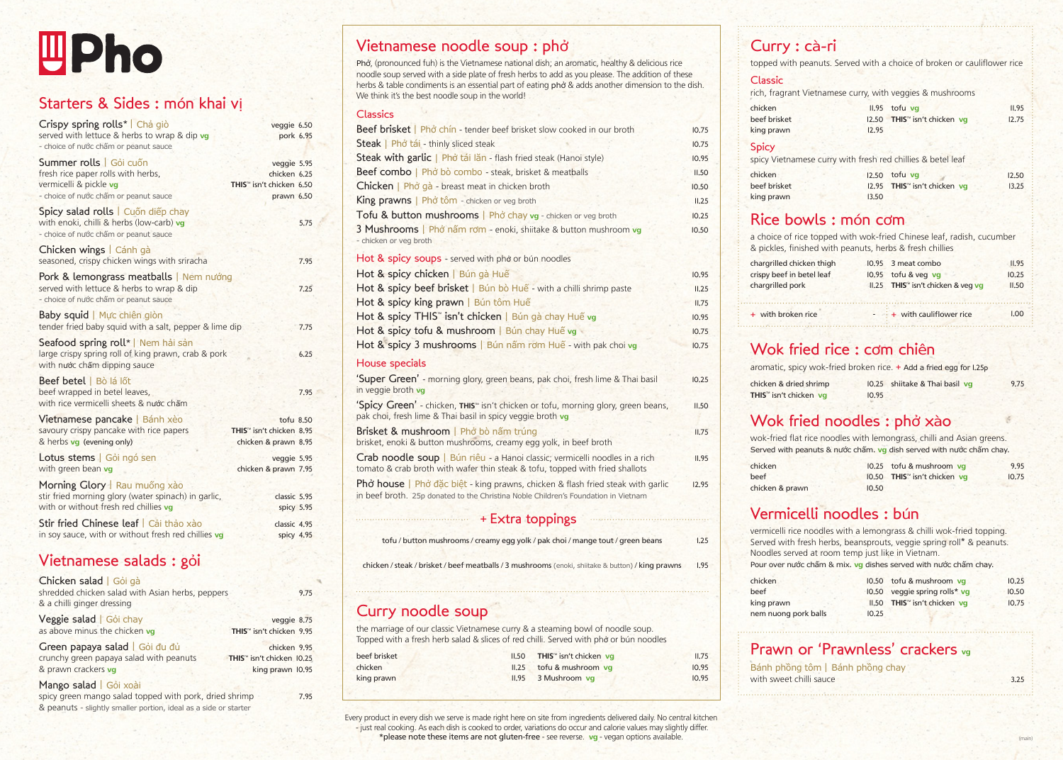# **Lipho**

# Starters & Sides : món khai vị

| Crispy spring rolls*   Chả giò<br>served with lettuce & herbs to wrap & dip vg<br>- choice of nước chấm or peanut sauce          | veggie 6.50<br>pork 6.95                                                          |      |
|----------------------------------------------------------------------------------------------------------------------------------|-----------------------------------------------------------------------------------|------|
| Summer rolls   Gói cuốn<br>fresh rice paper rolls with herbs,<br>vermicelli & pickle vg<br>- choice of nước chấm or peanut sauce | veggie 5.95<br>chicken 6.25<br>THIS <sup>™</sup> isn't chicken 6.50<br>prawn 6.50 |      |
| Spicy salad rolls   Cuốn diếp chay<br>with enoki, chilli & herbs (low-carb) vg<br>- choice of nước chấm or peanut sauce          |                                                                                   | 5.75 |
| Chicken wings   Cánh gà<br>seasoned, crispy chicken wings with sriracha                                                          |                                                                                   | 7.95 |
| Pork & lemongrass meatballs   Nem nướng<br>served with lettuce & herbs to wrap & dip<br>- choice of nước chấm or peanut sauce    |                                                                                   | 7.25 |
| Baby squid   Mưc chiến giòn<br>tender fried baby squid with a salt, pepper & lime dip                                            |                                                                                   | 7.75 |
| Seafood spring roll*   Nem hải sản<br>large crispy spring roll of king prawn, crab & pork<br>with nước chấm dipping sauce        |                                                                                   | 6.25 |
| Beef betel   Bò lá lốt<br>beef wrapped in betel leaves,<br>with rice vermicelli sheets & nuớc chấm                               |                                                                                   | 7.95 |
| Vietnamese pancake   Bánh xèo<br>savoury crispy pancake with rice papers<br>& herbs vg (evening only)                            | tofu 8.50<br>THIS <sup>™</sup> isn't chicken 8.95<br>chicken & prawn 8.95         |      |
| Lotus stems   Gói ngó sen<br>with green bean vg                                                                                  | veggie 5.95<br>chicken & prawn 7.95                                               |      |
| Morning Glory   Rau muống xào<br>stir fried morning glory (water spinach) in garlic,<br>with or without fresh red chillies vg    | classic 5.95<br>spicy 5.95                                                        |      |
| Stir fried Chinese leaf   Cải thảo xào<br>in soy sauce, with or without fresh red chillies vg                                    | classic 4.95<br>spicy 4.95                                                        |      |

# Vietnamese salads : gỏi

 $C$ kides salad |  $C^2$ 

| Chicken salad   Gol da<br>shredded chicken salad with Asian herbs, peppers<br>& a chilli ginger dressing | 9.75                                  |
|----------------------------------------------------------------------------------------------------------|---------------------------------------|
| Veggie salad   Gói chay                                                                                  | veggie 8.75                           |
| as above minus the chicken vg                                                                            | THIS <sup>™</sup> isn't chicken 9.95  |
| Green papaya salad   Gói đu đủ                                                                           | chicken 9.95                          |
| crunchy green papaya salad with peanuts                                                                  | THIS <sup>™</sup> isn't chicken 10,25 |
| & prawn crackers vg                                                                                      | king prawn 10.95                      |
| Mango salad   Gói xoài                                                                                   |                                       |

spicy green mango salad topped with pork, dried shrimp & peanuts - slightly smaller portion, ideal as a side or starter

# Vietnamese noodle soup : phở

Phở, (pronounced fuh) is the Vietnamese national dish; an aromatic, healthy & delicious rice noodle soup served with a side plate of fresh herbs to add as you please. The addition of these herbs & table condiments is an essential part of eating phở & adds another dimension to the dish. We think it's the best noodle soup in the world!

#### **Classics**

| Beef brisket   Phở chín - tender beef brisket slow cooked in our broth                                                                                      |
|-------------------------------------------------------------------------------------------------------------------------------------------------------------|
| Steak   Phở tái - thinly sliced steak                                                                                                                       |
| Steak with garlic   Phở tái lăn - flash fried steak (Hanoi style)                                                                                           |
| Beef combo   Phở bò combo - steak, brisket & meatballs                                                                                                      |
| Chicken   Phở gà - breast meat in chicken broth                                                                                                             |
| King prawns   Phở tôm - chicken or veg broth                                                                                                                |
| Tofu & button mushrooms   Phở chay vg - chicken or veg broth                                                                                                |
| 3 Mushrooms   Phở nấm rơm - enoki, shiitake & button mushroom vg<br>- chicken or veg broth                                                                  |
| Hot & spicy soups - served with phở or bún noodles                                                                                                          |
| Hot & spicy chicken   Bún gà Huế                                                                                                                            |
| Hot & spicy beef brisket   Bún bò Huế - with a chilli shrimp paste                                                                                          |
| Hot & spicy king prawn   Bún tôm Huế                                                                                                                        |
| Hot & spicy THIS" isn't chicken   Bún gà chay Huế vg                                                                                                        |
| Hot & spicy tofu & mushroom   Bún chay Huế vg                                                                                                               |
| Hot & spicy 3 mushrooms   Bún nấm rơm Huế - with pak choi vg                                                                                                |
| <b>House specials</b>                                                                                                                                       |
| 'Super Green' - morning glory, green beans, pak choi, fresh lime & Thai basil<br>in veggie broth vg                                                         |
| "Spicy Green' - chicken, THIS <sup>*</sup> isn't chicken or tofu, morning glory, green beans,<br>pak choi, fresh lime & Thai basil in spicy veggie broth vg |
| Brisket & mushroom   Phở bò nấm trúng<br>brisket, enoki & button mushrooms, creamy egg yolk, in beef broth                                                  |
| Crab noodle soup   Bún riêu - a Hanoi classic; vermicelli noodles in a rich<br>tomato & crab broth with wafer thin steak & tofu, topped with fried shallots |
| <b>Phở house</b>   Phở đặc biệt - king prawns, chicken & flash fried steak with garlic                                                                      |

in beef broth. 25p donated to the Christina Noble Children's Foundation in Vietnam

## + Extra toppings

tofu / button mushrooms / creamy egg yolk / pak choi / mange tout / green beans

chicken / steak / brisket / beef meatballs / 3 mushrooms (enoki, shiitake & button) / king prawns

# Curry noodle soup

7.95

the marriage of our classic Vietnamese curry & a steaming bowl of noodle soup. Topped with a fresh herb salad & slices of red chilli. Served with phở or bún noodles

| beef brisket | II,50 THIS™ isn't chicken vg |
|--------------|------------------------------|
| chicken      | II.25 tofu & mushroom vq     |
| king prawn   | II.95 3 Mushroom vg          |

Every product in every dish we serve is made right here on site from ingredients delivered daily. No central kitchen - just real cooking. As each dish is cooked to order, variations do occur and calorie values may slightly differ. \*please note these items are not gluten-free - see reverse. **vg** - vegan options available.

# Curry : cà-ri

topped with peanuts. Served with a choice of broken or cauliflower rice

#### Classic

rich, fragrant Vietnamese curry, with veggies & mushrooms

| chicken      |       | $II.95$ tofu vg                          | II.95 |
|--------------|-------|------------------------------------------|-------|
| beef brisket |       | 12,50 THIS <sup>™</sup> isn't chicken vg | 12.75 |
| king prawn   | 12.95 |                                          |       |

#### Spicy

10.75 10.75 10.95 11.50 10.50 11.25 10.25 10.50

11.50

10.25

10.95 11.25 11.75 10.95 10.75 10.75

11.75

11.95

12.95

1.25

1.95

11.75 10.95 10.95

|              | spicy Vietnamese curry with fresh red chillies & betel leaf |       |
|--------------|-------------------------------------------------------------|-------|
| chicken      | $12.50$ tofu va                                             | 12.50 |
| beef brisket | 12.95 THIS™ isn't chicken vg                                | 13.25 |
| king prawn   | 13.50                                                       |       |

## Rice bowls : món cơm

a choice of rice topped with wok-fried Chinese leaf, radish, cucumber & pickles, finished with peanuts, herbs & fresh chillies

| chargrilled chicken thigh | 10.95 3 meat combo                 | II.95 |
|---------------------------|------------------------------------|-------|
| crispy beef in betel leaf | $10.95$ tofu & veg vg              | 10.25 |
| chargrilled pork          | II.25 THIS™ isn't chicken & veg vg | II.50 |
| + with broken rice        | $ +$ with cauliflower rice         | I.OO. |
|                           |                                    |       |

# Wok fried rice : cơm chiên

aromatic, spicy wok-fried broken rice. + Add a fried egg for 1.25p

-

| chicken & dried shrimp                                                     |       | 10.25 shiitake & Thai basil vg | 9.75 |
|----------------------------------------------------------------------------|-------|--------------------------------|------|
| <b>THIS</b> <sup><math>m</math></sup> isn't chicken $\mathbf{v}\mathbf{g}$ | 10.95 |                                |      |

# Wok fried noodles : phở xào

wok-fried flat rice noodles with lemongrass, chilli and Asian greens. Served with peanuts & nước chấm. **vg** dish served with nước chấm chay.

| chicken         |       | 10.25 tofu & mushroom vq                 | 9.95  |
|-----------------|-------|------------------------------------------|-------|
| beef            |       | 10.50 THIS <sup>™</sup> isn't chicken vg | 10.75 |
| chicken & prawn | 10.50 |                                          |       |

# Vermicelli noodles : bún

vermicelli rice noodles with a lemongrass & chilli wok-fried topping. Served with fresh herbs, beansprouts, veggie spring roll\* & peanuts. Noodles served at room temp just like in Vietnam. Pour over nước chấm & mix. **vg** dishes served with nước chấm chay.

| chicken              |       | 10.50 tofu & mushroom vg                 | 10.25 |
|----------------------|-------|------------------------------------------|-------|
| beef                 |       | 10.50 veggie spring rolls* vg            | 10.50 |
| king prawn           |       | II,50 THIS <sup>™</sup> isn't chicken vg | 10.75 |
| nem nuong pork balls | 10.25 |                                          |       |

(main)

3.25

# Prawn or 'Prawnless' crackers **vg**

Bánh phồng tôm | Bánh phồng chay with sweet chilli sauce